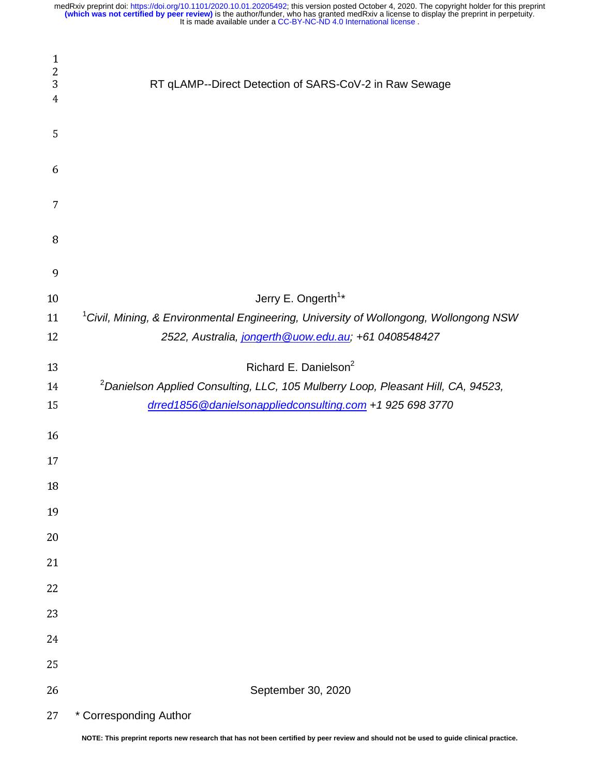| $\mathbf{1}$<br>$\overline{c}$<br>3<br>4 | RT qLAMP--Direct Detection of SARS-CoV-2 in Raw Sewage                                            |
|------------------------------------------|---------------------------------------------------------------------------------------------------|
| 5                                        |                                                                                                   |
| 6                                        |                                                                                                   |
| 7                                        |                                                                                                   |
| 8                                        |                                                                                                   |
| 9                                        |                                                                                                   |
| 10                                       | Jerry E. Ongerth <sup>1*</sup>                                                                    |
| 11                                       | <sup>1</sup> Civil, Mining, & Environmental Engineering, University of Wollongong, Wollongong NSW |
| 12                                       | 2522, Australia, jongerth @uow.edu.au; +61 0408548427                                             |
| 13                                       | Richard E. Danielson <sup>2</sup>                                                                 |
| 14                                       | <sup>2</sup> Danielson Applied Consulting, LLC, 105 Mulberry Loop, Pleasant Hill, CA, 94523,      |
| 15                                       | drred1856@danielsonappliedconsulting.com +1 925 698 3770                                          |
| 16                                       |                                                                                                   |
| 17                                       |                                                                                                   |
| 18                                       |                                                                                                   |
| 19                                       |                                                                                                   |
| 20                                       |                                                                                                   |
| 21                                       |                                                                                                   |
| 22                                       |                                                                                                   |
| 23                                       |                                                                                                   |
| 24                                       |                                                                                                   |
| 25                                       |                                                                                                   |
| 26                                       | September 30, 2020                                                                                |
| 27                                       | * Corresponding Author                                                                            |

**NOTE: This preprint reports new research that has not been certified by peer review and should not be used to guide clinical practice.**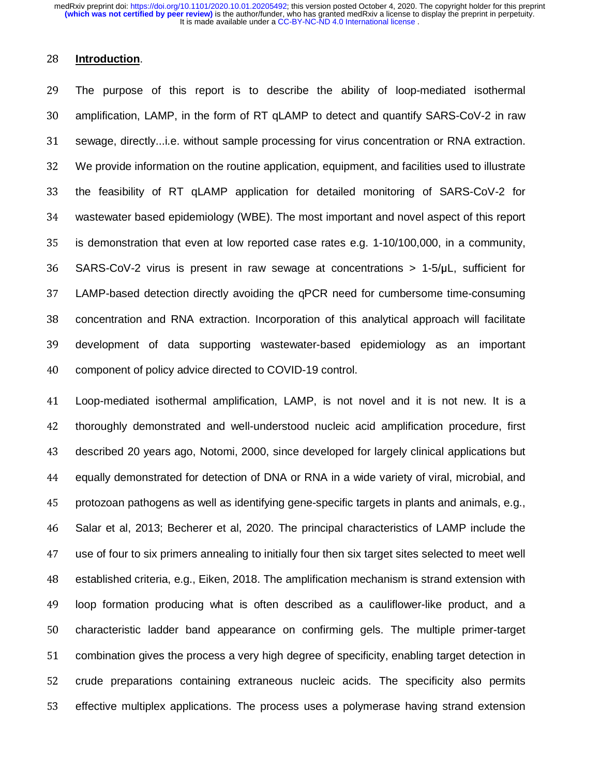### <sup>28</sup>**Introduction**.

<sup>29</sup>The purpose of this report is to describe the ability of loop-mediated isothermal 30 amplification, LAMP, in the form of RT qLAMP to detect and quantify SARS-CoV-2 in raw 31 sewage, directly...i.e. without sample processing for virus concentration or RNA extraction. <sup>32</sup>We provide information on the routine application, equipment, and facilities used to illustrate 33 the feasibility of RT qLAMP application for detailed monitoring of SARS-CoV-2 for <sup>34</sup>wastewater based epidemiology (WBE). The most important and novel aspect of this report 35 is demonstration that even at low reported case rates e.g. 1-10/100,000, in a community, 36 SARS-CoV-2 virus is present in raw sewage at concentrations > 1-5/µL, sufficient for 37 LAMP-based detection directly avoiding the qPCR need for cumbersome time-consuming 38 concentration and RNA extraction. Incorporation of this analytical approach will facilitate 39 development of data supporting wastewater-based epidemiology as an important 40 component of policy advice directed to COVID-19 control.

<sup>41</sup>Loop-mediated isothermal amplification, LAMP, is not novel and it is not new. It is a 42 thoroughly demonstrated and well-understood nucleic acid amplification procedure, first 43 described 20 years ago, Notomi, 2000, since developed for largely clinical applications but <sup>44</sup>equally demonstrated for detection of DNA or RNA in a wide variety of viral, microbial, and <sup>45</sup>protozoan pathogens as well as identifying gene-specific targets in plants and animals, e.g., <sup>46</sup>Salar et al, 2013; Becherer et al, 2020. The principal characteristics of LAMP include the <sup>47</sup>use of four to six primers annealing to initially four then six target sites selected to meet well <sup>48</sup>established criteria, e.g., Eiken, 2018. The amplification mechanism is strand extension with <sup>49</sup>loop formation producing what is often described as a cauliflower-like product, and a 50 characteristic ladder band appearance on confirming gels. The multiple primer-target 51 combination gives the process a very high degree of specificity, enabling target detection in 52 crude preparations containing extraneous nucleic acids. The specificity also permits 53 effective multiplex applications. The process uses a polymerase having strand extension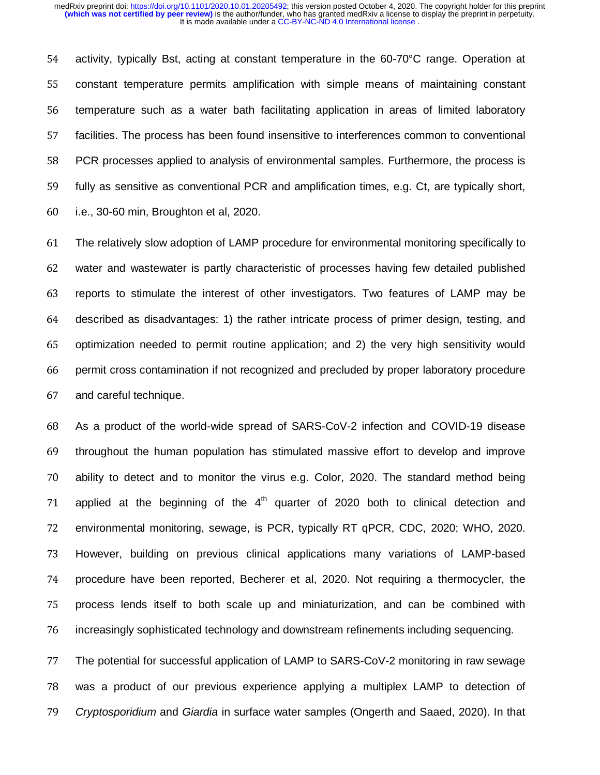54 activity, typically Bst, acting at constant temperature in the 60-70°C range. Operation at 55 constant temperature permits amplification with simple means of maintaining constant 56 temperature such as a water bath facilitating application in areas of limited laboratory 57 facilities. The process has been found insensitive to interferences common to conventional 58 PCR processes applied to analysis of environmental samples. Furthermore, the process is 59 fully as sensitive as conventional PCR and amplification times, e.g. Ct, are typically short,  $60$  i.e., 30-60 min, Broughton et al, 2020.

<sup>61</sup>The relatively slow adoption of LAMP procedure for environmental monitoring specifically to <sup>62</sup>water and wastewater is partly characteristic of processes having few detailed published 63 reports to stimulate the interest of other investigators. Two features of LAMP may be 64 described as disadvantages: 1) the rather intricate process of primer design, testing, and 65 optimization needed to permit routine application; and 2) the very high sensitivity would 66 permit cross contamination if not recognized and precluded by proper laboratory procedure 67 and careful technique.

68 As a product of the world-wide spread of SARS-CoV-2 infection and COVID-19 disease 69 throughout the human population has stimulated massive effort to develop and improve <sup>70</sup>ability to detect and to monitor the virus e.g. Color, 2020. The standard method being 71 applied at the beginning of the  $4<sup>th</sup>$  quarter of 2020 both to clinical detection and 72 environmental monitoring, sewage, is PCR, typically RT qPCR, CDC, 2020; WHO, 2020. 73 However, building on previous clinical applications many variations of LAMP-based 74 procedure have been reported, Becherer et al, 2020. Not requiring a thermocycler, the 75 process lends itself to both scale up and miniaturization, and can be combined with 76 increasingly sophisticated technology and downstream refinements including sequencing.

77 The potential for successful application of LAMP to SARS-CoV-2 monitoring in raw sewage <sup>78</sup>was a product of our previous experience applying a multiplex LAMP to detection of <sup>79</sup>*Cryptosporidium* and *Giardia* in surface water samples (Ongerth and Saaed, 2020). In that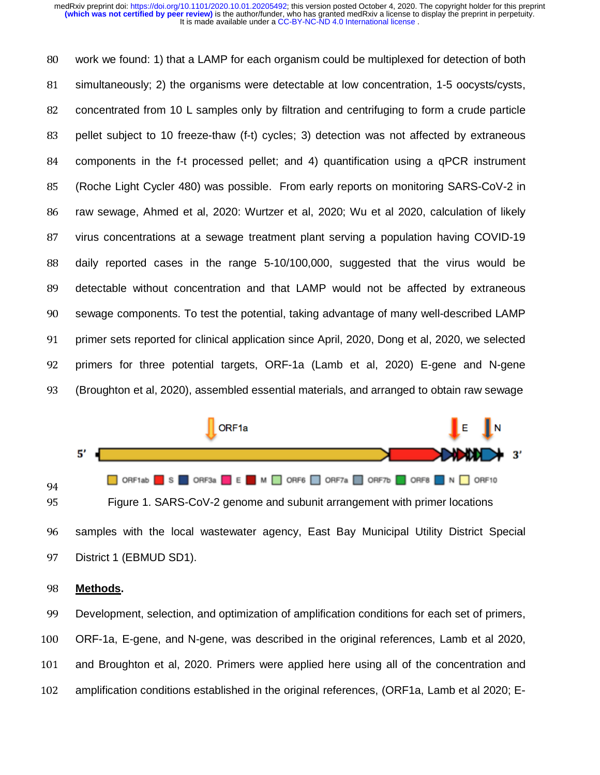80 work we found: 1) that a LAMP for each organism could be multiplexed for detection of both 81 simultaneously; 2) the organisms were detectable at low concentration, 1-5 oocysts/cysts, 82 concentrated from 10 L samples only by filtration and centrifuging to form a crude particle 83 pellet subject to 10 freeze-thaw (f-t) cycles; 3) detection was not affected by extraneous 84 components in the f-t processed pellet; and 4) quantification using a qPCR instrument 85 (Roche Light Cycler 480) was possible. From early reports on monitoring SARS-CoV-2 in 86 raw sewage, Ahmed et al, 2020: Wurtzer et al, 2020; Wu et al 2020, calculation of likely 87 virus concentrations at a sewage treatment plant serving a population having COVID-19 88 daily reported cases in the range 5-10/100,000, suggested that the virus would be 89 detectable without concentration and that LAMP would not be affected by extraneous 90 Sewage components. To test the potential, taking advantage of many well-described LAMP 91 primer sets reported for clinical application since April, 2020, Dong et al, 2020, we selected 92 primers for three potential targets, ORF-1a (Lamb et al, 2020) E-gene and N-gene <sup>93</sup>(Broughton et al, 2020), assembled essential materials, and arranged to obtain raw sewage



# <sup>98</sup>**Methods.**

99 Development, selection, and optimization of amplification conditions for each set of primers, 100 ORF-1a, E-gene, and N-gene, was described in the original references, Lamb et al 2020, 101 and Broughton et al, 2020. Primers were applied here using all of the concentration and 102 amplification conditions established in the original references, (ORF1a, Lamb et al 2020; E--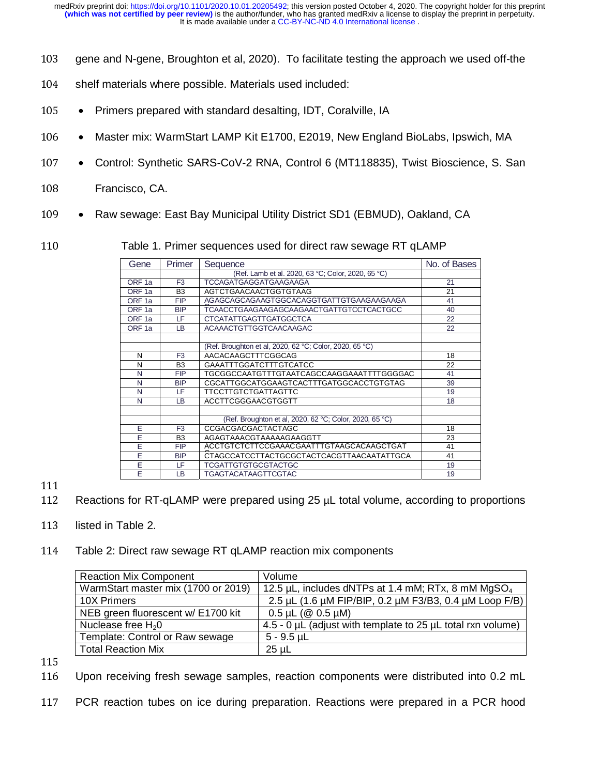- 103 gene and N-gene, Broughton et al, 2020). To facilitate testing the approach we used off-the
- 104 shelf materials where possible. Materials used included:
- <sup>105</sup> Primers prepared with standard desalting, IDT, Coralville, IA
- <sup>106</sup> Master mix: WarmStart LAMP Kit E1700, E2019, New England BioLabs, Ipswich, MA
- 107 Control: Synthetic SARS-CoV-2 RNA, Control 6 (MT118835), Twist Bioscience, S. San
- 108 Francisco, CA.
- 109 Raw sewage: East Bay Municipal Utility District SD1 (EBMUD), Oakland, CA
- 110 Table 1. Primer sequences used for direct raw sewage RT qLAMP

| Gene                                                                        | Primer         | Sequence                                                | No. of Bases |
|-----------------------------------------------------------------------------|----------------|---------------------------------------------------------|--------------|
|                                                                             |                | (Ref. Lamb et al. 2020, 63 °C; Color, 2020, 65 °C)      |              |
| ORF <sub>1a</sub>                                                           | F <sub>3</sub> | <b>TCCAGATGAGGATGAAGAAGA</b>                            | 21           |
| ORF <sub>1a</sub><br>B <sub>3</sub>                                         |                | AGTCTGAACAACTGGTGTAAG                                   | 21           |
| <b>FIP</b><br>ORF <sub>1a</sub>                                             |                | AGAGCAGCAGAAGTGGCACAGGTGATTGTGAAGAAGAAGA                | 41           |
| ORF <sub>1a</sub><br>TCAACCTGAAGAAGAGCAAGAACTGATTGTCCTCACTGCC<br><b>BIP</b> |                | 40                                                      |              |
| ORF <sub>1a</sub><br>LF                                                     |                | <b>CTCATATTGAGTTGATGGCTCA</b>                           | 22           |
| ORF <sub>1a</sub>                                                           | LB.            | <b>ACAAACTGTTGGTCAACAAGAC</b>                           | 22           |
|                                                                             |                |                                                         |              |
|                                                                             |                | (Ref. Broughton et al, 2020, 62 °C; Color, 2020, 65 °C) |              |
| N                                                                           | F <sub>3</sub> | AACACAAGCTTTCGGCAG                                      | 18           |
| N                                                                           | B <sub>3</sub> | <b>GAAATTTGGATCTTTGTCATCC</b>                           | 22           |
| N                                                                           | <b>FIP</b>     | TGCGGCCAATGTTTGTAATCAGCCAAGGAAATTTTGGGGAC               | 41           |
| N                                                                           | <b>BIP</b>     | CGCATTGGCATGGAAGTCACTTTGATGGCACCTGTGTAG                 | 39           |
| N                                                                           | LF.            | <b>TTCCTTGTCTGATTAGTTC</b>                              | 19           |
| N                                                                           | LB             | ACCTTCGGGAACGTGGTT                                      | 18           |
|                                                                             |                |                                                         |              |
|                                                                             |                | (Ref. Broughton et al, 2020, 62 °C; Color, 2020, 65 °C) |              |
| E                                                                           | F <sub>3</sub> | CCGACGACGACTACTAGC                                      | 18           |
| E                                                                           | B <sub>3</sub> | AGAGTAAACGTAAAAAGAAGGTT                                 | 23           |
| Ē                                                                           | <b>FIP</b>     | ACCTGTCTCTTCCGAAACGAATTTGTAAGCACAAGCTGAT                | 41           |
| Ē                                                                           | <b>BIP</b>     | CTAGCCATCCTTACTGCGCTACTCACGTTAACAATATTGCA               | 41           |
| Ē                                                                           | LF             | <b>TCGATTGTGTGCGTACTGC</b>                              | 19           |
| Ē<br><b>LB</b>                                                              |                | <b>TGAGTACATAAGTTCGTAC</b>                              | 19           |

 $\begin{array}{c} 111 \\ 112 \end{array}$ 

- 113 listed in Table 2.
- 114 Table 2: Direct raw sewage RT qLAMP reaction mix components

| <b>Reaction Mix Component</b>       | Volume                                                              |
|-------------------------------------|---------------------------------------------------------------------|
| WarmStart master mix (1700 or 2019) | 12.5 $\mu$ L, includes dNTPs at 1.4 mM; RTx, 8 mM MgSO <sub>4</sub> |
| 10X Primers                         | 2.5 μL (1.6 μM FIP/BIP, 0.2 μM F3/B3, 0.4 μM Loop F/B)              |
| NEB green fluorescent w/ E1700 kit  | $0.5 \mu L$ ( $\circledcirc$ 0.5 $\mu$ M)                           |
| Nuclease free $H_2O$                | 4.5 - 0 µL (adjust with template to 25 µL total rxn volume)         |
| Template: Control or Raw sewage     | $5 - 9.5$ µL                                                        |
| <b>Total Reaction Mix</b>           | $25 \mu L$                                                          |

- 115<br>116
- Upon receiving fresh sewage samples, reaction components were distributed into 0.2 mL
- 117 PCR reaction tubes on ice during preparation. Reactions were prepared in a PCR hood

Reactions for RT-qLAMP were prepared using  $25 \mu L$  total volume, according to proportions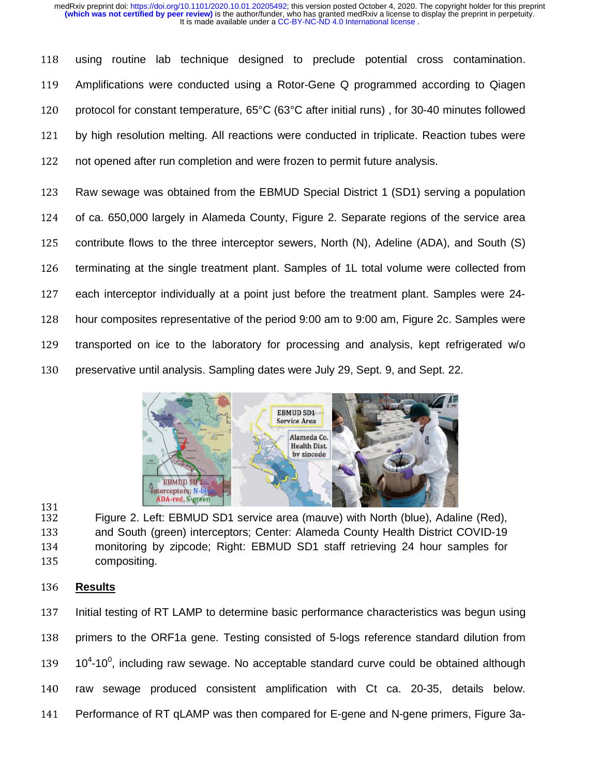118 using routine lab technique designed to preclude potential cross contamination. 119 Amplifications were conducted using a Rotor-Gene Q programmed according to Qiagen 120 protocol for constant temperature, 65°C (63°C after initial runs), for 30-40 minutes followed 121 by high resolution melting. All reactions were conducted in triplicate. Reaction tubes were 122 not opened after run completion and were frozen to permit future analysis.

123 Raw sewage was obtained from the EBMUD Special District 1 (SD1) serving a population 124 of ca. 650,000 largely in Alameda County, Figure 2. Separate regions of the service area 125 contribute flows to the three interceptor sewers, North (N), Adeline (ADA), and South (S) 126 terminating at the single treatment plant. Samples of 1L total volume were collected from 127 each interceptor individually at a point just before the treatment plant. Samples were 24-128 hour composites representative of the period 9:00 am to 9:00 am, Figure 2c. Samples were 129 transported on ice to the laboratory for processing and analysis, kept refrigerated w/o 130 preservative until analysis. Sampling dates were July 29, Sept. 9, and Sept. 22. 4-<br>re



131 132 Figure 2. Left: EBMUD SD1 service area (mauve) with North (blue), Adaline (Red),<br>133 and South (green) interceptors: Center: Alameda County Health District COVID-19 133 and South (green) interceptors; Center: Alameda County Health District COVID-19<br>134 monitoring by zipcode; Right: EBMUD SD1 staff retrieving 24 hour samples for 134 monitoring by zipcode; Right: EBMUD SD1 staff retrieving 24 hour samples for<br>135 compositing. compositing.

## <sup>136</sup>**Results**

137 Initial testing of RT LAMP to determine basic performance characteristics was begun using 138 primers to the ORF1a gene. Testing consisted of 5-logs reference standard dilution from  $139$   $10^4$ -10<sup>0</sup>, including raw sewage. No acceptable standard curve could be obtained although 140 raw sewage produced consistent amplification with Ct ca. 20-35, details below. 141 Performance of RT qLAMP was then compared for E-gene and N-gene primers, Figure 3a-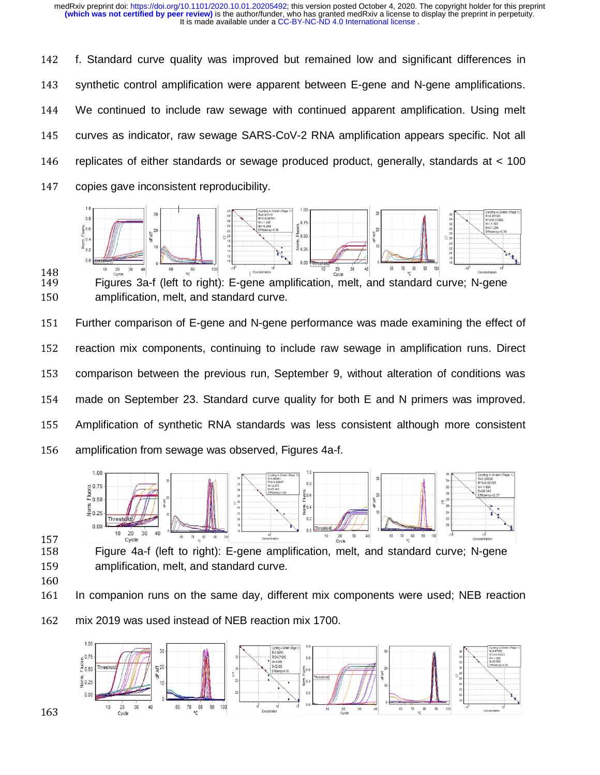142 f. Standard curve quality was improved but remained low and significant differences in 143 synthetic control amplification were apparent between E-gene and N-gene amplifications. 144 We continued to include raw sewage with continued apparent amplification. Using melt 145 curves as indicator, raw sewage SARS-CoV-2 RNA amplification appears specific. Not all 146 replicates of either standards or sewage produced product, generally, standards at < 100 147 copies gave inconsistent reproducibility.



148<br>149 149 Figures 3a-f (left to right): E-gene amplification, melt, and standard curve; N-gene<br>150 amplification, melt, and standard curve, amplification, melt, and standard curve.

151 Further comparison of E-gene and N-gene performance was made examining the effect of 152 reaction mix components, continuing to include raw sewage in amplification runs. Direct 153 comparison between the previous run, September 9, without alteration of conditions was 154 made on September 23. Standard curve quality for both E and N primers was improved. 155 Amplification of synthetic RNA standards was less consistent although more consistent 156 amplification from sewage was observed, Figures 4a-f.



 $\frac{157}{158}$ 

158 Figure 4a-f (left to right): E-gene amplification, melt, and standard curve; N-gene<br>159 **Aument Caraccion, melt, and standard curve**. 159 amplification, melt, and standard curve.<br>160

161 161 In companion runs on the same day, different mix components were used; NEB reaction

162 mix 2019 was used instead of NEB reaction mix 1700.

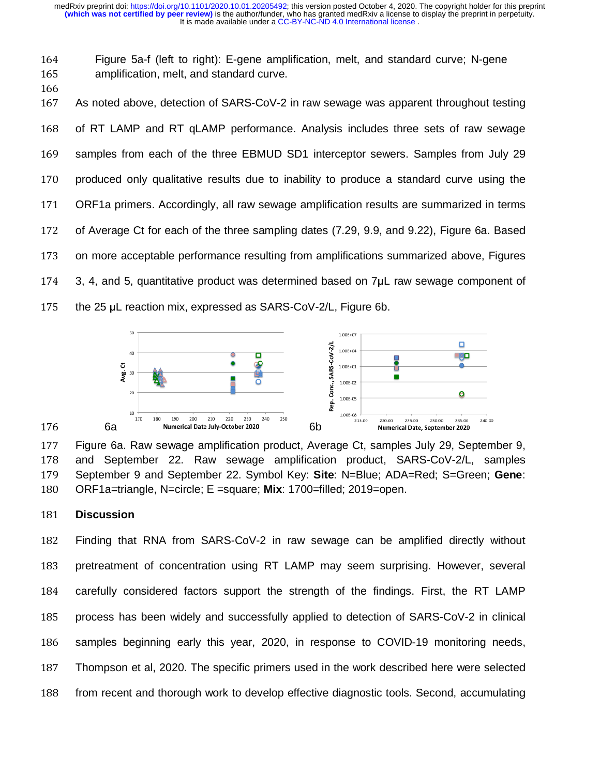164 Figure 5a-f (left to right): E-gene amplification, melt, and standard curve; N-gene<br>165 amplification, melt, and standard curve. 165 amplification, melt, and standard curve.<br>166

167 167 As noted above, detection of SARS-CoV-2 in raw sewage was apparent throughout testing 168 of RT LAMP and RT qLAMP performance. Analysis includes three sets of raw sewage 169 samples from each of the three EBMUD SD1 interceptor sewers. Samples from July 29 170 produced only qualitative results due to inability to produce a standard curve using the 171 ORF1a primers. Accordingly, all raw sewage amplification results are summarized in terms 172 of Average Ct for each of the three sampling dates (7.29, 9.9, and 9.22), Figure 6a. Based 173 on more acceptable performance resulting from amplifications summarized above, Figures  $174$  3, 4, and 5, quantitative product was determined based on  $7\mu$ L raw sewage component of 175 the 25 μL reaction mix, expressed as SARS-CoV-2/L, Figure 6b.



177 Figure 6a. Raw sewage amplification product, Average Ct, samples July 29, September 9,<br>178 - and September 22, Baw, sewage, amplification, product, SABS CoV 24, semples 178 and September 22. Raw sewage amplification product, SARS-CoV-2/L, samples<br>170 September 9 and September 22 Symbol Kay: Site: N-Blue: ADA-Bed: S-Creep: Gane: 179 September 9 and September 22. Symbol Key: **Site**: N=Blue; ADA=Red; S=Green; Gene: 189. Contained: 199. Contained: September 2010. 180 ORF1a=triangle, N=circle; E =square; Mix: 1700=filled; 2019=open.

#### <sup>181</sup>**Discussion**

182 Finding that RNA from SARS-CoV-2 in raw sewage can be amplified directly without 183 pretreatment of concentration using RT LAMP may seem surprising. However, several 184 carefully considered factors support the strength of the findings. First, the RT LAMP 185 process has been widely and successfully applied to detection of SARS-CoV-2 in clinical 186 samples beginning early this year, 2020, in response to COVID-19 monitoring needs, 187 Thompson et al, 2020. The specific primers used in the work described here were selected 188 from recent and thorough work to develop effective diagnostic tools. Second, accumulating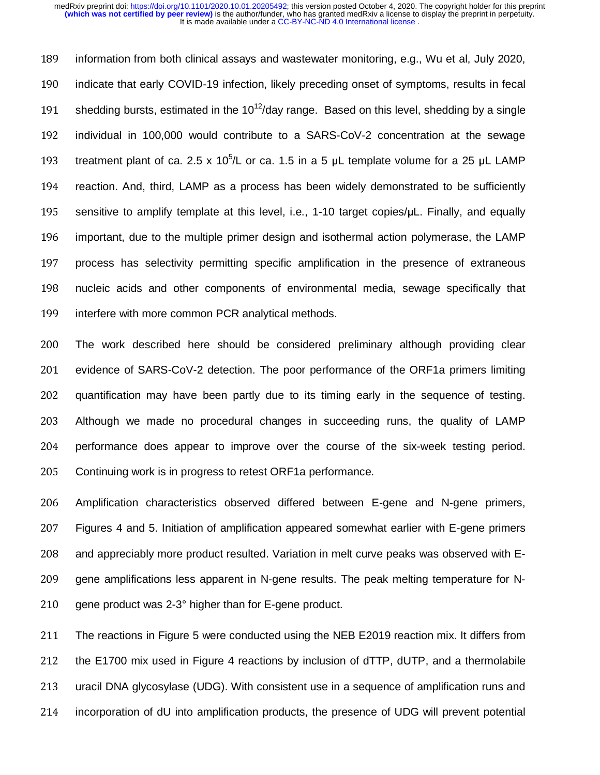189 information from both clinical assays and wastewater monitoring, e.g., Wu et al, July 2020, 190 indicate that early COVID-19 infection, likely preceding onset of symptoms, results in fecal 191 shedding bursts, estimated in the 10<sup>12</sup>/day range. Based on this level, shedding by a single 192 individual in 100,000 would contribute to a SARS-CoV-2 concentration at the sewage 193 treatment plant of ca. 2.5 x 10<sup>5</sup>/L or ca. 1.5 in a 5  $\mu$ L template volume for a 25  $\mu$ L LAMP 194 reaction. And, third, LAMP as a process has been widely demonstrated to be sufficiently 195 sensitive to amplify template at this level, i.e., 1-10 target copies/μL. Finally, and equally 196 important, due to the multiple primer design and isothermal action polymerase, the LAMP 197 process has selectivity permitting specific amplification in the presence of extraneous 198 nucleic acids and other components of environmental media, sewage specifically that 199 interfere with more common PCR analytical methods.

200 The work described here should be considered preliminary although providing clear 201 evidence of SARS-CoV-2 detection. The poor performance of the ORF1a primers limiting 202 quantification may have been partly due to its timing early in the sequence of testing. 203 Although we made no procedural changes in succeeding runs, the quality of LAMP 204 performance does appear to improve over the course of the six-week testing period. 205 Continuing work is in progress to retest ORF1a performance.

<sup>206</sup>Amplification characteristics observed differed between E-gene and N-gene primers, 207 Figures 4 and 5. Initiation of amplification appeared somewhat earlier with E-gene primers 208 and appreciably more product resulted. Variation in melt curve peaks was observed with E-209 gene amplifications less apparent in N-gene results. The peak melting temperature for N-210 gene product was  $2-3°$  higher than for E-gene product.

211 The reactions in Figure 5 were conducted using the NEB E2019 reaction mix. It differs from 212 the E1700 mix used in Figure 4 reactions by inclusion of dTTP, dUTP, and a thermolabile 213 uracil DNA glycosylase (UDG). With consistent use in a sequence of amplification runs and 214 incorporation of dU into amplification products, the presence of UDG will prevent potential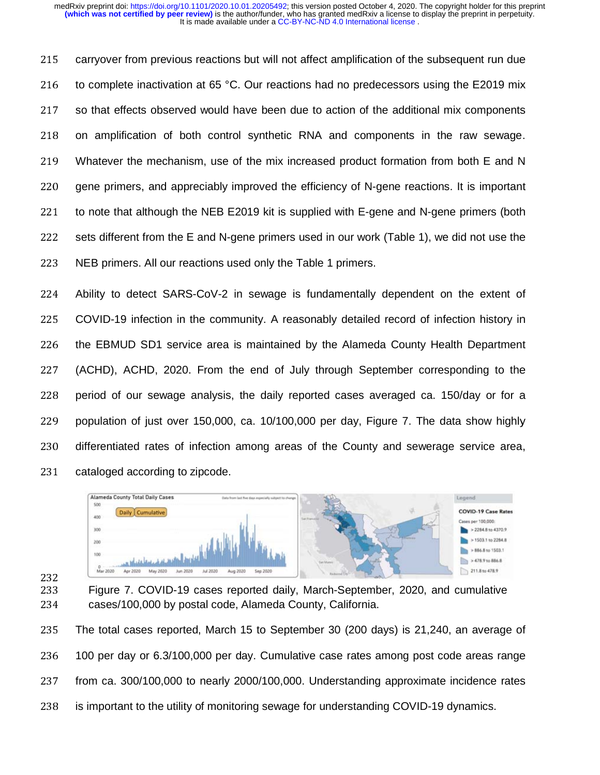215 carryover from previous reactions but will not affect amplification of the subsequent run due 216 to complete inactivation at 65 °C. Our reactions had no predecessors using the E2019 mix 217 so that effects observed would have been due to action of the additional mix components 218 on amplification of both control synthetic RNA and components in the raw sewage. 219 Whatever the mechanism, use of the mix increased product formation from both E and N 220 gene primers, and appreciably improved the efficiency of N-gene reactions. It is important 221 to note that although the NEB E2019 kit is supplied with E-gene and N-gene primers (both 222 sets different from the E and N-gene primers used in our work (Table 1), we did not use the 223 NEB primers. All our reactions used only the Table 1 primers.

224 Ability to detect SARS-CoV-2 in sewage is fundamentally dependent on the extent of 225 COVID-19 infection in the community. A reasonably detailed record of infection history in 226 the EBMUD SD1 service area is maintained by the Alameda County Health Department 227 (ACHD), ACHD, 2020. From the end of July through September corresponding to the 228 period of our sewage analysis, the daily reported cases averaged ca. 150/day or for a 229 population of just over 150,000, ca. 10/100,000 per day, Figure 7. The data show highly 230 differentiated rates of infection among areas of the County and sewerage service area, 231 cataloged according to zipcode.



232

232 233 Figure 7. COVID-19 cases reported daily, March-September, 2020, and cumulative 234 cases/100,000 by postal code. Alameda County, California. cases/100,000 by postal code, Alameda County, California.

235 The total cases reported, March 15 to September 30 (200 days) is 21,240, an average of 236 100 per day or 6.3/100,000 per day. Cumulative case rates among post code areas range 237 from ca. 300/100,000 to nearly 2000/100,000. Understanding approximate incidence rates 238 is important to the utility of monitoring sewage for understanding COVID-19 dynamics. ge<br>es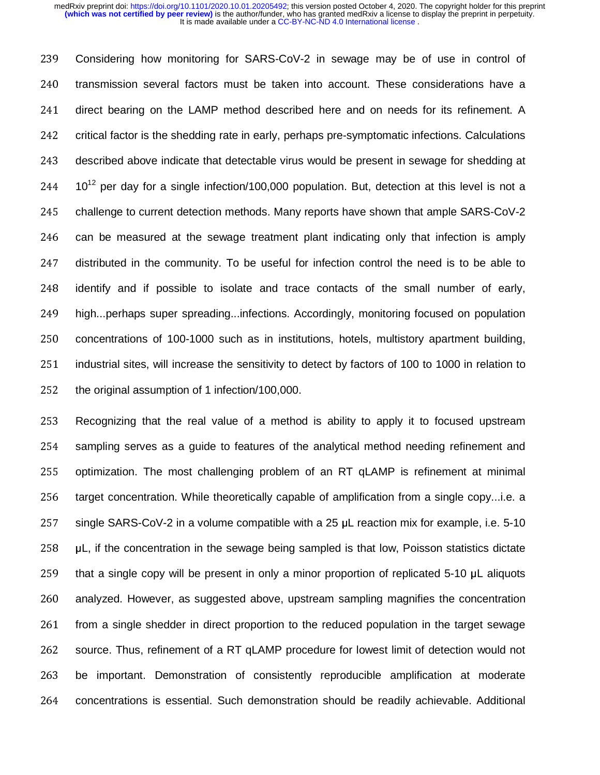239 Considering how monitoring for SARS-CoV-2 in sewage may be of use in control of 240 transmission several factors must be taken into account. These considerations have a 241 direct bearing on the LAMP method described here and on needs for its refinement. A 242 critical factor is the shedding rate in early, perhaps pre-symptomatic infections. Calculations 243 described above indicate that detectable virus would be present in sewage for shedding at  $10^{12}$  per day for a single infection/100,000 population. But, detection at this level is not a 245 challenge to current detection methods. Many reports have shown that ample SARS-CoV-2 246 can be measured at the sewage treatment plant indicating only that infection is amply 247 distributed in the community. To be useful for infection control the need is to be able to 248 identify and if possible to isolate and trace contacts of the small number of early, 249 high...perhaps super spreading...infections. Accordingly, monitoring focused on population 250 concentrations of 100-1000 such as in institutions, hotels, multistory apartment building, 251 industrial sites, will increase the sensitivity to detect by factors of 100 to 1000 in relation to 252 the original assumption of 1 infection/100,000.

253 Recognizing that the real value of a method is ability to apply it to focused upstream 254 sampling serves as a guide to features of the analytical method needing refinement and 255 optimization. The most challenging problem of an RT qLAMP is refinement at minimal 256 target concentration. While theoretically capable of amplification from a single copy...i.e. a 257 single SARS-CoV-2 in a volume compatible with a 25 μL reaction mix for example, i.e. 5-10 258  $\mu$ L, if the concentration in the sewage being sampled is that low, Poisson statistics dictate 259 that a single copy will be present in only a minor proportion of replicated 5-10 μL aliquots 260 analyzed. However, as suggested above, upstream sampling magnifies the concentration 261 from a single shedder in direct proportion to the reduced population in the target sewage 262 source. Thus, refinement of a RT qLAMP procedure for lowest limit of detection would not 263 be important. Demonstration of consistently reproducible amplification at moderate 264 concentrations is essential. Such demonstration should be readily achievable. Additional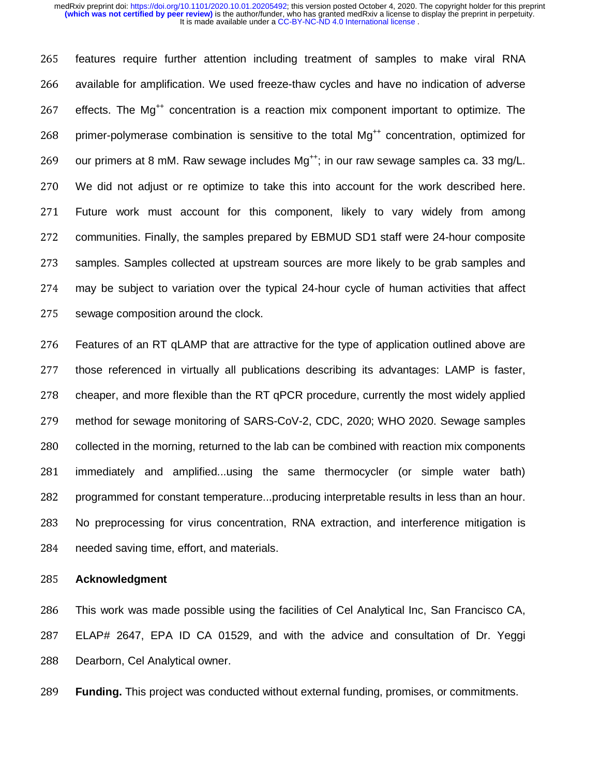265 features require further attention including treatment of samples to make viral RNA 266 available for amplification. We used freeze-thaw cycles and have no indication of adverse 267 effects. The Mg<sup>++</sup> concentration is a reaction mix component important to optimize. The 268 primer-polymerase combination is sensitive to the total  $Ma^{++}$  concentration, optimized for 269 our primers at 8 mM. Raw sewage includes  $Mg^{++}$ ; in our raw sewage samples ca. 33 mg/L. <sup>270</sup>We did not adjust or re optimize to take this into account for the work described here. 271 Future work must account for this component, likely to vary widely from among 272 communities. Finally, the samples prepared by EBMUD SD1 staff were 24-hour composite 273 samples. Samples collected at upstream sources are more likely to be grab samples and 274 may be subject to variation over the typical 24-hour cycle of human activities that affect 275 sewage composition around the clock.

276 Features of an RT qLAMP that are attractive for the type of application outlined above are 277 those referenced in virtually all publications describing its advantages: LAMP is faster, 278 cheaper, and more flexible than the RT qPCR procedure, currently the most widely applied 279 method for sewage monitoring of SARS-CoV-2, CDC, 2020; WHO 2020. Sewage samples 280 collected in the morning, returned to the lab can be combined with reaction mix components 281 immediately and amplified...using the same thermocycler (or simple water bath) 282 programmed for constant temperature...producing interpretable results in less than an hour. 283 No preprocessing for virus concentration, RNA extraction, and interference mitigation is 284 needed saving time, effort, and materials.

#### <sup>285</sup>**Acknowledgment**

286 This work was made possible using the facilities of Cel Analytical Inc, San Francisco CA, <sup>287</sup>ELAP# 2647, EPA ID CA 01529, and with the advice and consultation of Dr. Yeggi 288 Dearborn, Cel Analytical owner.

<sup>289</sup>**Funding.** This project was conducted without external funding, promises, or commitments.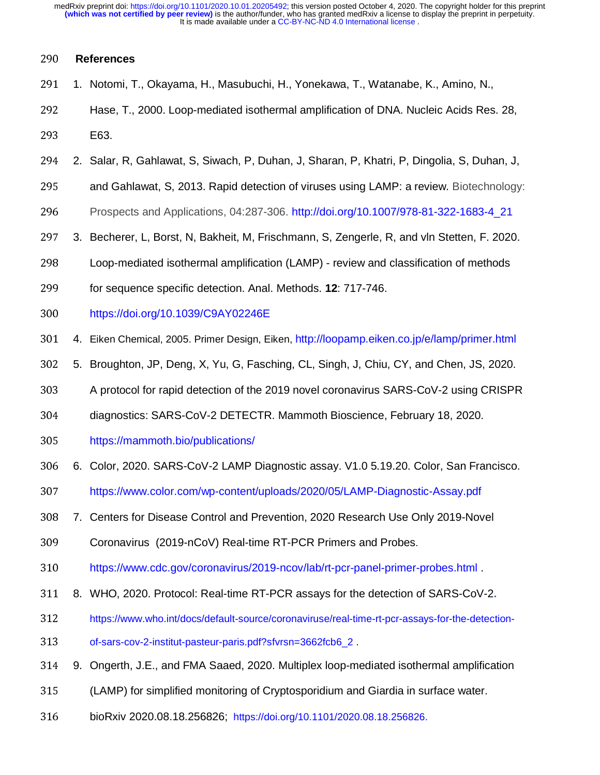## <sup>290</sup>**References**

- 291 1. Notomi, T., Okayama, H., Masubuchi, H., Yonekawa, T., Watanabe, K., Amino, N.,
- 292 Hase, T., 2000. Loop-mediated isothermal amplification of DNA. Nucleic Acids Res. 28,
- 293 E63.
- <sup>294</sup>2. Salar, R, Gahlawat, S, Siwach, P, Duhan, J, Sharan, P, Khatri, P, Dingolia, S, Duhan, J,
- 295 and Gahlawat, S, 2013. Rapid detection of viruses using LAMP: a review. Biotechnology:
- <sup>296</sup>Prospects and Applications, 04:287-306. http://doi.org/10.1007/978-81-322-1683-4\_21
- 297 3. Becherer, L, Borst, N, Bakheit, M, Frischmann, S, Zengerle, R, and vln Stetten, F. 2020.
- <sup>298</sup>Loop-mediated isothermal amplification (LAMP) review and classification of methods
- 299 for sequence specific detection. Anal. Methods. **12**: 717-746.
- <sup>300</sup>https://doi.org/10.1039/C9AY02246E
- <sup>301</sup>4. Eiken Chemical, 2005. Primer Design, Eiken, http://loopamp.eiken.co.jp/e/lamp/primer.html
- <sup>302</sup>5. Broughton, JP, Deng, X, Yu, G, Fasching, CL, Singh, J, Chiu, CY, and Chen, JS, 2020.
- <sup>303</sup>A protocol for rapid detection of the 2019 novel coronavirus SARS-CoV-2 using CRISPR
- <sup>304</sup>diagnostics: SARS-CoV-2 DETECTR. Mammoth Bioscience, February 18, 2020.
- 305 https://mammoth.bio/publications/
- <sup>306</sup>6. Color, 2020. SARS-CoV-2 LAMP Diagnostic assay. V1.0 5.19.20. Color, San Francisco.
- 307 https://www.color.com/wp-content/uploads/2020/05/LAMP-Diagnostic-Assay.pdf
- <sup>308</sup>7. Centers for Disease Control and Prevention, 2020 Research Use Only 2019-Novel
- 309 Coronavirus (2019-nCoV) Real-time RT-PCR Primers and Probes.
- 310 https://www.cdc.gov/coronavirus/2019-ncov/lab/rt-pcr-panel-primer-probes.html
- <sup>311</sup>8. WHO, 2020. Protocol: Real-time RT-PCR assays for the detection of SARS-CoV-2**.**
- 312 https://www.who.int/docs/default-source/coronaviruse/real-time-rt-pcr-assays-for-the-detection-
- 313 of-sars-cov-2-institut-pasteur-paris.pdf?sfvrsn=3662fcb6\_2.
- 314 9. Ongerth, J.E., and FMA Saaed, 2020. Multiplex loop-mediated isothermal amplification
- <sup>315</sup>(LAMP) for simplified monitoring of Cryptosporidium and Giardia in surface water.
- <sup>316</sup>bioRxiv 2020.08.18.256826; https://doi.org/10.1101/2020.08.18.256826.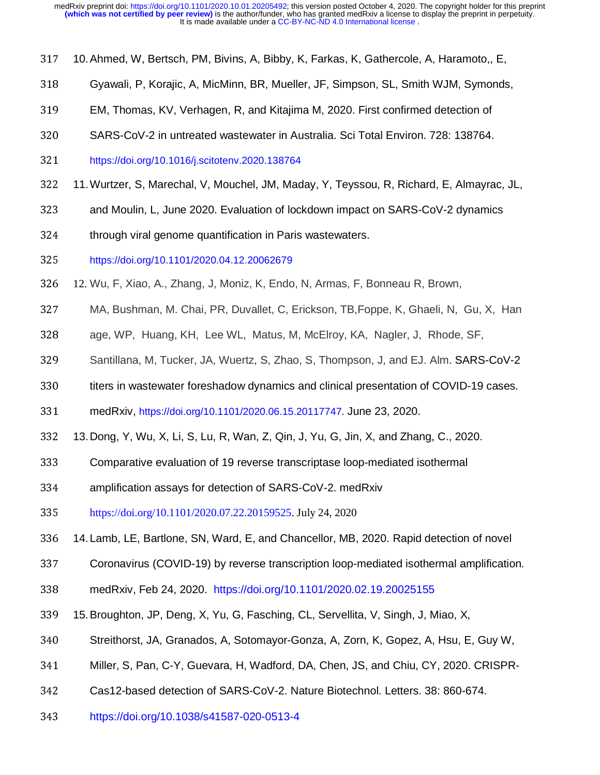- 317 10. Ahmed, W, Bertsch, PM, Bivins, A, Bibby, K, Farkas, K, Gathercole, A, Haramoto,, E,
- <sup>318</sup>Gyawali, P, Korajic, A, MicMinn, BR, Mueller, JF, Simpson, SL, Smith WJM, Symonds,
- <sup>319</sup>EM, Thomas, KV, Verhagen, R, and Kitajima M, 2020. First confirmed detection of
- 320 SARS-CoV-2 in untreated wastewater in Australia. Sci Total Environ. 728: 138764.
- <sup>321</sup>https://doi.org/10.1016/j.scitotenv.2020.138764
- <sup>322</sup>11. Wurtzer, S, Marechal, V, Mouchel, JM, Maday, Y, Teyssou, R, Richard, E, Almayrac, JL,
- 323 and Moulin, L, June 2020. Evaluation of lockdown impact on SARS-CoV-2 dynamics
- 324 through viral genome quantification in Paris wastewaters.
- <sup>325</sup>https://doi.org/10.1101/2020.04.12.20062679
- <sup>326</sup>12. Wu, F, Xiao, A., Zhang, J, Moniz, K, Endo, N, Armas, F, Bonneau R, Brown,
- <sup>327</sup>MA, Bushman, M. Chai, PR, Duvallet, C, Erickson, TB,Foppe, K, Ghaeli, N, Gu, X, Han
- 328 age, WP, Huang, KH, Lee WL, Matus, M, McElroy, KA, Nagler, J, Rhode, SF,
- 329 Santillana, M, Tucker, JA, Wuertz, S, Zhao, S, Thompson, J, and EJ. Alm. SARS-CoV-2
- 330 titers in wastewater foreshadow dynamics and clinical presentation of COVID-19 cases.
- <sup>331</sup>medRxiv, https://doi.org/10.1101/2020.06.15.20117747. June 23, 2020.
- <sup>332</sup>13. Dong, Y, Wu, X, Li, S, Lu, R, Wan, Z, Qin, J, Yu, G, Jin, X, and Zhang, C., 2020.
- <sup>333</sup>Comparative evaluation of 19 reverse transcriptase loop-mediated isothermal
- 334 amplification assays for detection of SARS-CoV-2. medRxiv
- <sup>335</sup>https://doi.org/10.1101/2020.07.22.20159525. July 24, 2020
- 336 14. Lamb, LE, Bartlone, SN, Ward, E, and Chancellor, MB, 2020. Rapid detection of novel
- 337 Coronavirus (COVID-19) by reverse transcription loop-mediated isothermal amplification.
- <sup>338</sup>medRxiv, Feb 24, 2020. https://doi.org/10.1101/2020.02.19.20025155
- <sup>339</sup>15. Broughton, JP, Deng, X, Yu, G, Fasching, CL, Servellita, V, Singh, J, Miao, X,
- 340 Streithorst, JA, Granados, A, Sotomayor-Gonza, A, Zorn, K, Gopez, A, Hsu, E, Guy W,
- 341 Miller, S, Pan, C-Y, Guevara, H, Wadford, DA, Chen, JS, and Chiu, CY, 2020. CRISPR-
- 342 Cas12-based detection of SARS-CoV-2. Nature Biotechnol. Letters. 38: 860-674.
- <sup>343</sup>https://doi.org/10.1038/s41587-020-0513-4